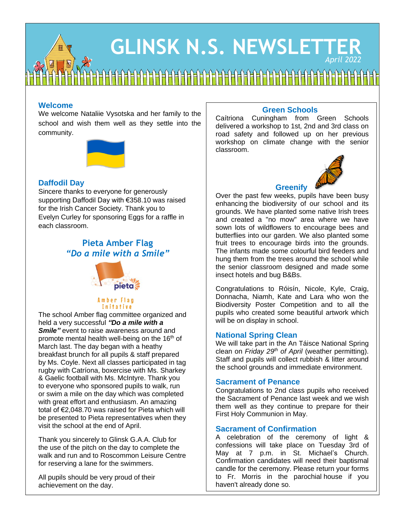# **GLINSK N.S. NEWSLETTER** *April 2022*

## **Welcome**

We welcome Nataliie Vysotska and her family to the school and wish them well as they settle into the community.



## **Daffodil Day**

Sincere thanks to everyone for generously supporting Daffodil Day with €358.10 was raised for the Irish Cancer Society. Thank you to Evelyn Curley for sponsoring Eggs for a raffle in each classroom.

## **Pieta Amber Flag** *"Do a mile with a Smile"*



#### Amber Flag Initative

The school Amber flag committee organized and held a very successful *"Do a mile with a Smile"* event to raise awareness around and promote mental health well-being on the 16<sup>th</sup> of March last. The day began with a heathy breakfast brunch for all pupils & staff prepared by Ms. Coyle. Next all classes participated in tag rugby with Catríona, boxercise with Ms. Sharkey & Gaelic football with Ms. McIntyre. Thank you to everyone who sponsored pupils to walk, run or swim a mile on the day which was completed with great effort and enthusiasm. An amazing total of €2,048.70 was raised for Pieta which will be presented to Pieta representatives when they visit the school at the end of April.

Thank you sincerely to Glinsk G.A.A. Club for the use of the pitch on the day to complete the walk and run and to Roscommon Leisure Centre for reserving a lane for the swimmers.

All pupils should be very proud of their achievement on the day.

#### **Green Schools**

Caítriona Cuningham from Green Schools delivered a workshop to 1st, 2nd and 3rd class on road safety and followed up on her previous workshop on climate change with the senior classroom.



### **Greenify**

Over the past few weeks, pupils have been busy enhancing the biodiversity of our school and its grounds. We have planted some native Irish trees and created a "no mow" area where we have sown lots of wildflowers to encourage bees and butterflies into our garden. We also planted some fruit trees to encourage birds into the grounds. The infants made some colourful bird feeders and hung them from the trees around the school while the senior classroom designed and made some insect hotels and bug B&Bs.

Congratulations to Róisín, Nicole, Kyle, Craig, Donnacha, Niamh, Kate and Lara who won the Biodiversity Poster Competition and to all the pupils who created some beautiful artwork which will be on display in school.

#### **National Spring Clean**

We will take part in the An Táisce National Spring clean on *Friday 29 th of April* (weather permitting). Staff and pupils will collect rubbish & litter around the school grounds and immediate environment.

#### **Sacrament of Penance**

Congratulations to 2nd class pupils who received the Sacrament of Penance last week and we wish them well as they continue to prepare for their First Holy Communion in May.

#### **Sacrament of Confirmation**

A celebration of the ceremony of light & confessions will take place on Tuesday 3rd of May at 7 p.m. in St. Michael's Church. Confirmation candidates will need their baptismal candle for the ceremony. Please return your forms to Fr. Morris in the parochial house if you haven't already done so.